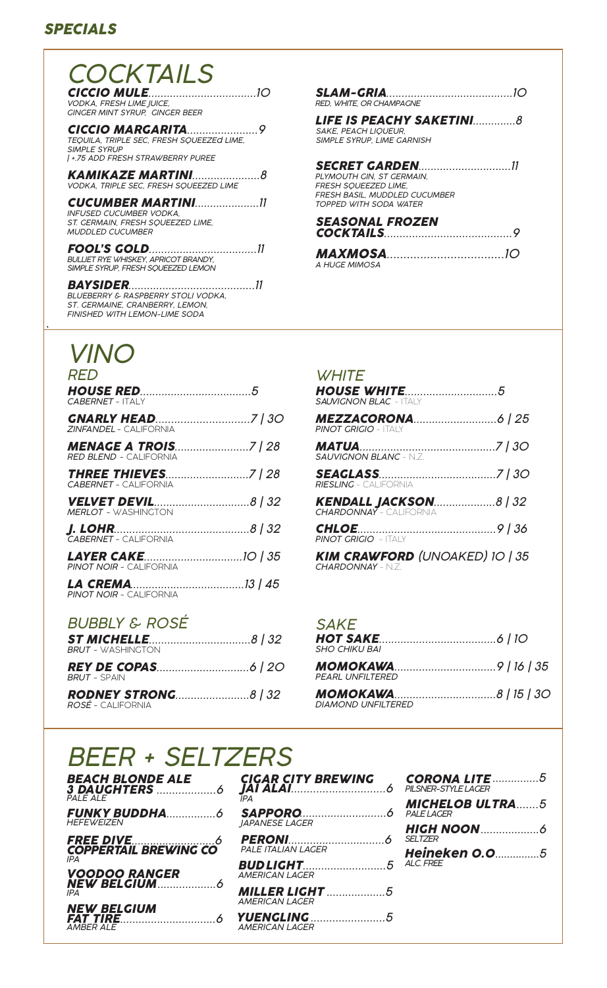# *SPECIALS*

| COCKTAILS                                                                                                               |  |
|-------------------------------------------------------------------------------------------------------------------------|--|
| VODKA, FRESH LIME JUICE,<br><b>GINGER MINT SYRUP. GINGER BEER</b>                                                       |  |
| TEQUILA, TRIPLE SEC, FRESH SQUEEZEd LIME,<br><b>SIMPLE SYRUP</b><br>  +.75 ADD FRESH STRAWBERRY PUREE                   |  |
| VODKA, TRIPLE SEC, FRESH SQUEEZED LIME                                                                                  |  |
| <b>CUCUMBER MARTINI</b> (11<br>INFUSED CUCUMBER VODKA.<br>ST. GERMAIN. FRESH SOUEEZED LIME.<br><b>MUDDI ED CUCUMBER</b> |  |
| BULLIET RYE WHISKEY, APRICOT BRANDY,<br>SIMPLE SYRUP, FRESH SOUEEZED LEMON                                              |  |

*BAYSIDER.........................................11 BLUEBERRY & RASPBERRY STOLI VODKA, ST. GERMAINE, CRANBERRY, LEMON, FINISHED WITH LEMON-LIME SODA*

# *SLAM-GRIA...........................................10 RED, WHITE, OR CHAMPAGNE LIFE IS PEACHY SAKETINI..............8*

*SAKE, PEACH LIQUEUR, SIMPLE SYRUP, LIME GARNISH*

#### *SECRET GARDEN..............................11 PLYMOUTH GIN, ST GERMAIN, FRESH SQUEEZED LIME,*

*FRESH BASIL, MUDDLED CUCUMBER TOPPED WITH SODA WATER*

*SEASONAL FROZEN COCKTAILS.........................................9*

| <b>MAXMOSA</b> 2020 2020 |  |
|--------------------------|--|
| A HUGE MIMOSA            |  |

# *VINO*

*`*

| <i>RED</i>                                                   | <i>WHITE</i>                       |
|--------------------------------------------------------------|------------------------------------|
| CABERNET - ITAI Y                                            | <b>HOUSE</b><br><b>SAUVIGNON</b>   |
| <b>ZINFANDEL - CALIFORNIA</b>                                | <b>MEZZA</b><br><b>PINOT GRIC</b>  |
| <b>MENAGE A TROIS7   28</b><br><b>RED BLEND - CALIFORNIA</b> | <b>MATUA.</b><br><b>SAUVIGNOI</b>  |
| <b>CABERNET - CALIFORNIA</b>                                 | <i><b>SEAGLA</b></i><br>RIESLING - |
| <b>MERLOT - WASHINGTON</b>                                   | <b>KENDAL</b><br><b>CHARDONI</b>   |
| <b>J. LOHR.</b> 6 (32)<br><b>CABERNET - CALIFORNIA</b>       | <b>CHLOE</b><br><b>PINOT GRIC</b>  |
| <b>PINOT NOIR - CALIFORNIA</b>                               | <b>KIM CRA</b><br><b>CHARDONN</b>  |
| <b>PINOT NOIR - CALIFORNIA</b>                               |                                    |
| <b>BUBBLY &amp; ROSÉ</b>                                     | <i>SAKE</i>                        |
| <b>BRUT - WASHINGTON</b>                                     | <b>HOT SA</b><br><b>SHO CHIKU</b>  |
| <b>BRUT - SPAIN</b>                                          | МОМОК<br><b>PEARL UNF</b>          |
| <i>ROSÉ –</i> CALIFORNIA                                     | МОМОК<br><b>DIAMOND I</b>          |

| <b>WHITE</b>                                               |  |
|------------------------------------------------------------|--|
| <b>SALIVIGNON BLAC - ITALY</b>                             |  |
| <b>PINOT GRIGIO - ITAI Y</b>                               |  |
| <b>SAUVIGNON BLANC - N.Z.</b>                              |  |
| <b>RIESLING</b> - CALIFORNIA                               |  |
| <b>KENDALL JACKSON8   32</b><br>CHARDONNAY - CALIFORNIA    |  |
| <b>CHLOE</b> 2008 2009 2010<br><b>PINOT GRIGIO</b> - ITALY |  |
| <b>KIM CRAWFORD (UNOAKED) 10   35</b><br>$CHARDONNAY - NZ$ |  |

#### *SAKE*

| SHO CHIKU BAI                                                 |  |
|---------------------------------------------------------------|--|
| PEARL UNFILTERED                                              |  |
| <b>MOMOKAWA</b> 2008 8   15   30<br><b>DIAMOND UNFILTERED</b> |  |

# *BEER + SELTZERS*

| BEACH BLONDE ALE<br>PALE ALE              |
|-------------------------------------------|
| <b>HEFEWEIZEN</b>                         |
| FREE DIVE<br>COPPERTAIL BREWING CO<br>IPA |
| VOODOO RANGER<br>NEW BELCIUM<br>IPA       |
| <b>NEW BELGIUM</b><br><b>AMBER ALE</b>    |

| CIGAR CITY BREWING           | <b>CORONA LITE</b> 5 |
|------------------------------|----------------------|
| IPA                          |                      |
| <i><b>IAPANESE LAGER</b></i> |                      |
| PALE ITALIAN LAGER           |                      |
| <b>AMERICAN LAGER</b>        | ALC. FREE            |
| <b>AMERICAN LAGER</b>        |                      |
| <b>AMERICAN LAGER</b>        |                      |